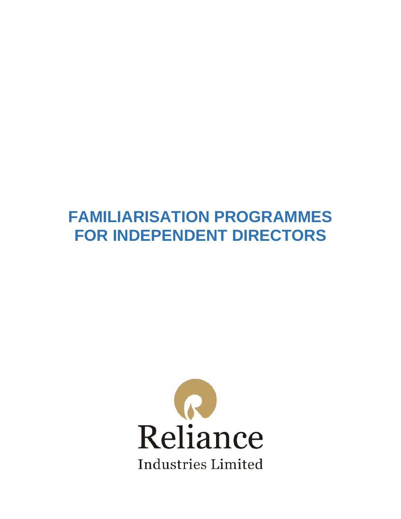# **FAMILIARISATION PROGRAMMES FOR INDEPENDENT DIRECTORS**

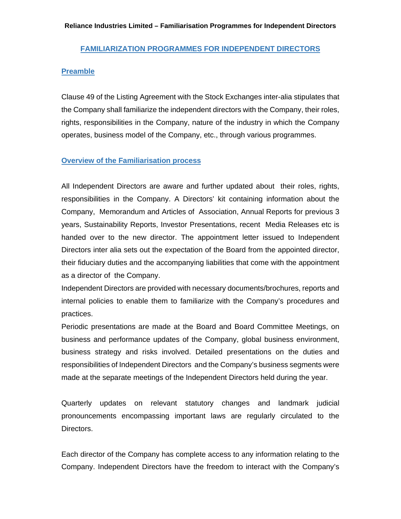#### **Reliance Industries Limited – Familiarisation Programmes for Independent Directors**

## **FAMILIARIZATION PROGRAMMES FOR INDEPENDENT DIRECTORS**

### **Preamble**

Clause 49 of the Listing Agreement with the Stock Exchanges inter-alia stipulates that the Company shall familiarize the independent directors with the Company, their roles, rights, responsibilities in the Company, nature of the industry in which the Company operates, business model of the Company, etc., through various programmes.

# **Overview of the Familiarisation process**

All Independent Directors are aware and further updated about their roles, rights, responsibilities in the Company. A Directors' kit containing information about the Company, Memorandum and Articles of Association, Annual Reports for previous 3 years, Sustainability Reports, Investor Presentations, recent Media Releases etc is handed over to the new director. The appointment letter issued to Independent Directors inter alia sets out the expectation of the Board from the appointed director, their fiduciary duties and the accompanying liabilities that come with the appointment as a director of the Company.

Independent Directors are provided with necessary documents/brochures, reports and internal policies to enable them to familiarize with the Company's procedures and practices.

Periodic presentations are made at the Board and Board Committee Meetings, on business and performance updates of the Company, global business environment, business strategy and risks involved. Detailed presentations on the duties and responsibilities of Independent Directors and the Company's business segments were made at the separate meetings of the Independent Directors held during the year.

Quarterly updates on relevant statutory changes and landmark judicial pronouncements encompassing important laws are regularly circulated to the Directors.

Each director of the Company has complete access to any information relating to the Company. Independent Directors have the freedom to interact with the Company's